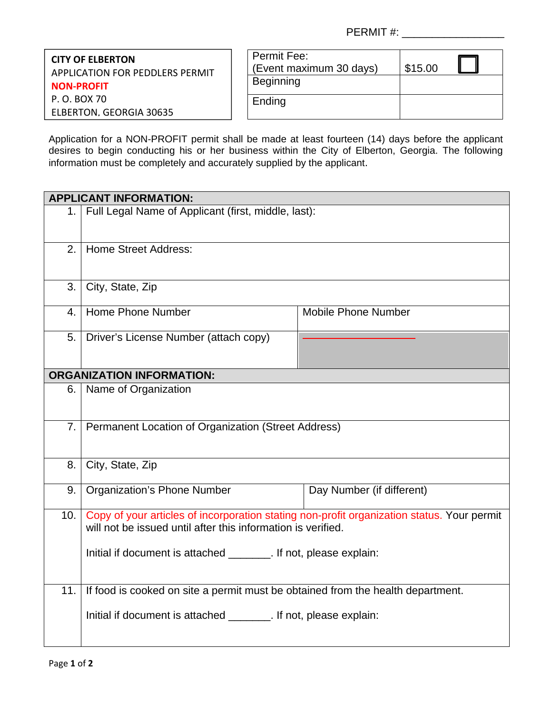PERMIT #:

**CITY OF ELBERTON** APPLICATION FOR PEDDLERS PERMIT **NON‐PROFIT** P. O. BOX 70 ELBERTON, GEORGIA 30635

| Permit Fee:<br>(Event maximum 30 days) | \$15.00 |  |
|----------------------------------------|---------|--|
| <b>Beginning</b>                       |         |  |
| Ending                                 |         |  |

Application for a NON-PROFIT permit shall be made at least fourteen (14) days before the applicant desires to begin conducting his or her business within the City of Elberton, Georgia. The following information must be completely and accurately supplied by the applicant.

|                | <b>APPLICANT INFORMATION:</b>                                                                                                                              |                            |  |  |  |
|----------------|------------------------------------------------------------------------------------------------------------------------------------------------------------|----------------------------|--|--|--|
| 1.             | Full Legal Name of Applicant (first, middle, last):                                                                                                        |                            |  |  |  |
| 2.             | <b>Home Street Address:</b>                                                                                                                                |                            |  |  |  |
| 3.             | City, State, Zip                                                                                                                                           |                            |  |  |  |
| 4.             | Home Phone Number                                                                                                                                          | <b>Mobile Phone Number</b> |  |  |  |
| 5.             | Driver's License Number (attach copy)                                                                                                                      |                            |  |  |  |
|                | <b>ORGANIZATION INFORMATION:</b>                                                                                                                           |                            |  |  |  |
| 6.             | Name of Organization                                                                                                                                       |                            |  |  |  |
| 7 <sub>1</sub> | Permanent Location of Organization (Street Address)                                                                                                        |                            |  |  |  |
| 8.             | City, State, Zip                                                                                                                                           |                            |  |  |  |
| 9.             | <b>Organization's Phone Number</b>                                                                                                                         | Day Number (if different)  |  |  |  |
| 10.            | Copy of your articles of incorporation stating non-profit organization status. Your permit<br>will not be issued until after this information is verified. |                            |  |  |  |
|                | Initial if document is attached ________. If not, please explain:                                                                                          |                            |  |  |  |
| 11.            | If food is cooked on site a permit must be obtained from the health department.                                                                            |                            |  |  |  |
|                | Initial if document is attached ________. If not, please explain:                                                                                          |                            |  |  |  |